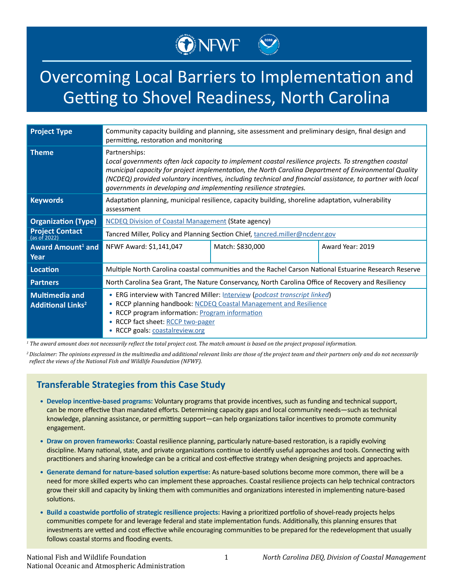# Overcoming Local Barriers to Implementation and Getting to Shovel Readiness, North Carolina

ONEWF

| <b>Project Type</b>                                          | Community capacity building and planning, site assessment and preliminary design, final design and<br>permitting, restoration and monitoring                                                                                                                                                                                                                                                                       |                  |                  |
|--------------------------------------------------------------|--------------------------------------------------------------------------------------------------------------------------------------------------------------------------------------------------------------------------------------------------------------------------------------------------------------------------------------------------------------------------------------------------------------------|------------------|------------------|
| <b>Theme</b>                                                 | Partnerships:<br>Local governments often lack capacity to implement coastal resilience projects. To strengthen coastal<br>municipal capacity for project implementation, the North Carolina Department of Environmental Quality<br>(NCDEQ) provided voluntary incentives, including technical and financial assistance, to partner with local<br>governments in developing and implementing resilience strategies. |                  |                  |
| <b>Keywords</b>                                              | Adaptation planning, municipal resilience, capacity building, shoreline adaptation, vulnerability<br>assessment                                                                                                                                                                                                                                                                                                    |                  |                  |
| <b>Organization (Type)</b>                                   | <b>NCDEQ Division of Coastal Management (State agency)</b>                                                                                                                                                                                                                                                                                                                                                         |                  |                  |
| <b>Project Contact</b><br>(as of 2022)                       | Tancred Miller, Policy and Planning Section Chief, tancred.miller@ncdenr.gov                                                                                                                                                                                                                                                                                                                                       |                  |                  |
| <b>Award Amount<sup>1</sup> and</b><br>Year                  | NFWF Award: \$1,141,047                                                                                                                                                                                                                                                                                                                                                                                            | Match: \$830,000 | Award Year: 2019 |
| Location                                                     | Multiple North Carolina coastal communities and the Rachel Carson National Estuarine Research Reserve                                                                                                                                                                                                                                                                                                              |                  |                  |
| <b>Partners</b>                                              | North Carolina Sea Grant, The Nature Conservancy, North Carolina Office of Recovery and Resiliency                                                                                                                                                                                                                                                                                                                 |                  |                  |
| <b>Multimedia and</b><br><b>Additional Links<sup>2</sup></b> | • ERG interview with Tancred Miller: Interview (podcast transcript linked)<br>• RCCP planning handbook: NCDEQ Coastal Management and Resilience<br>• RCCP program information: Program information<br>• RCCP fact sheet: RCCP two-pager<br>• RCCP goals: coastalreview.org                                                                                                                                         |                  |                  |

*1 The award amount does not necessarily reflect the total project cost. The match amount is based on the project proposal information.*

*<sup>2</sup>Disclaimer: The opinions expressed in the multimedia and additional relevant links are those of the project team and their partners only and do not necessarily reflect the views of the National Fish and Wildlife Foundation (NFWF).*

# **Transferable Strategies from this Case Study**

- **• Develop incentive-based programs:** Voluntary programs that provide incentives, such as funding and technical support, can be more effective than mandated efforts. Determining capacity gaps and local community needs—such as technical knowledge, planning assistance, or permitting support—can help organizations tailor incentives to promote community engagement.
- **• Draw on proven frameworks:** Coastal resilience planning, particularly nature-based restoration, is a rapidly evolving discipline. Many national, state, and private organizations continue to identify useful approaches and tools. Connecting with practitioners and sharing knowledge can be a critical and cost-effective strategy when designing projects and approaches.
- **• Generate demand for nature-based solution expertise:** As nature-based solutions become more common, there will be a need for more skilled experts who can implement these approaches. Coastal resilience projects can help technical contractors grow their skill and capacity by linking them with communities and organizations interested in implementing nature-based solutions.
- **• Build a coastwide portfolio of strategic resilience projects:** Having a prioritized portfolio of shovel-ready projects helps communities compete for and leverage federal and state implementation funds. Additionally, this planning ensures that investments are vetted and cost effective while encouraging communities to be prepared for the redevelopment that usually follows coastal storms and flooding events.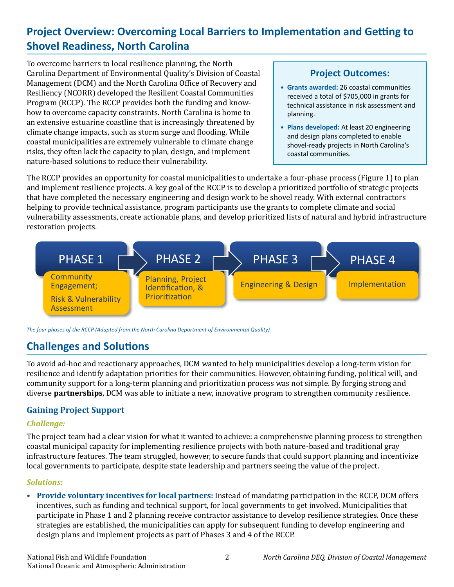# **Project Overview: Overcoming Local Barriers to Implementation and Getting to Shovel Readiness, North Carolina**

To overcome barriers to local resilience planning, the North Carolina Department of Environmental Quality's Division of Coastal Management (DCM) and the North Carolina Office of Recovery and Resiliency (NCORR) developed the Resilient Coastal Communities Program (RCCP). The RCCP provides both the funding and knowhow to overcome capacity constraints. North Carolina is home to an extensive estuarine coastline that is increasingly threatened by climate change impacts, such as storm surge and flooding. While coastal municipalities are extremely vulnerable to climate change risks, they often lack the capacity to plan, design, and implement nature-based solutions to reduce their vulnerability.

# **Project Outcomes:**

- **• Grants awarded:** 26 coastal communities received a total of \$705,000 in grants for technical assistance in risk assessment and planning.
- **• Plans developed:** At least 20 engineering and design plans completed to enable shovel-ready projects in North Carolina's coastal communities.

The RCCP provides an opportunity for coastal municipalities to undertake a four-phase process (Figure 1) to plan and implement resilience projects. A key goal of the RCCP is to develop a prioritized portfolio of strategic projects that have completed the necessary engineering and design work to be shovel ready. With external contractors helping to provide technical assistance, program participants use the grants to complete climate and social vulnerability assessments, create actionable plans, and develop prioritized lists of natural and hybrid infrastructure restoration projects.



*The four phases of the RCCP (Adapted from the North Carolina Department of Environmental Quality)*

# **Challenges and Solutions**

To avoid ad-hoc and reactionary approaches, DCM wanted to help municipalities develop a long-term vision for resilience and identify adaptation priorities for their communities. However, obtaining funding, political will, and community support for a long-term planning and prioritization process was not simple. By forging strong and diverse **partnerships**, DCM was able to initiate a new, innovative program to strengthen community resilience.

## **Gaining Project Support**

#### *Challenge:*

The project team had a clear vision for what it wanted to achieve: a comprehensive planning process to strengthen coastal municipal capacity for implementing resilience projects with both nature-based and traditional gray infrastructure features. The team struggled, however, to secure funds that could support planning and incentivize local governments to participate, despite state leadership and partners seeing the value of the project.

## *Solutions:*

**• Provide voluntary incentives for local partners:** Instead of mandating participation in the RCCP, DCM offers incentives, such as funding and technical support, for local governments to get involved. Municipalities that participate in Phase 1 and 2 planning receive contractor assistance to develop resilience strategies. Once these strategies are established, the municipalities can apply for subsequent funding to develop engineering and design plans and implement projects as part of Phases 3 and 4 of the RCCP.